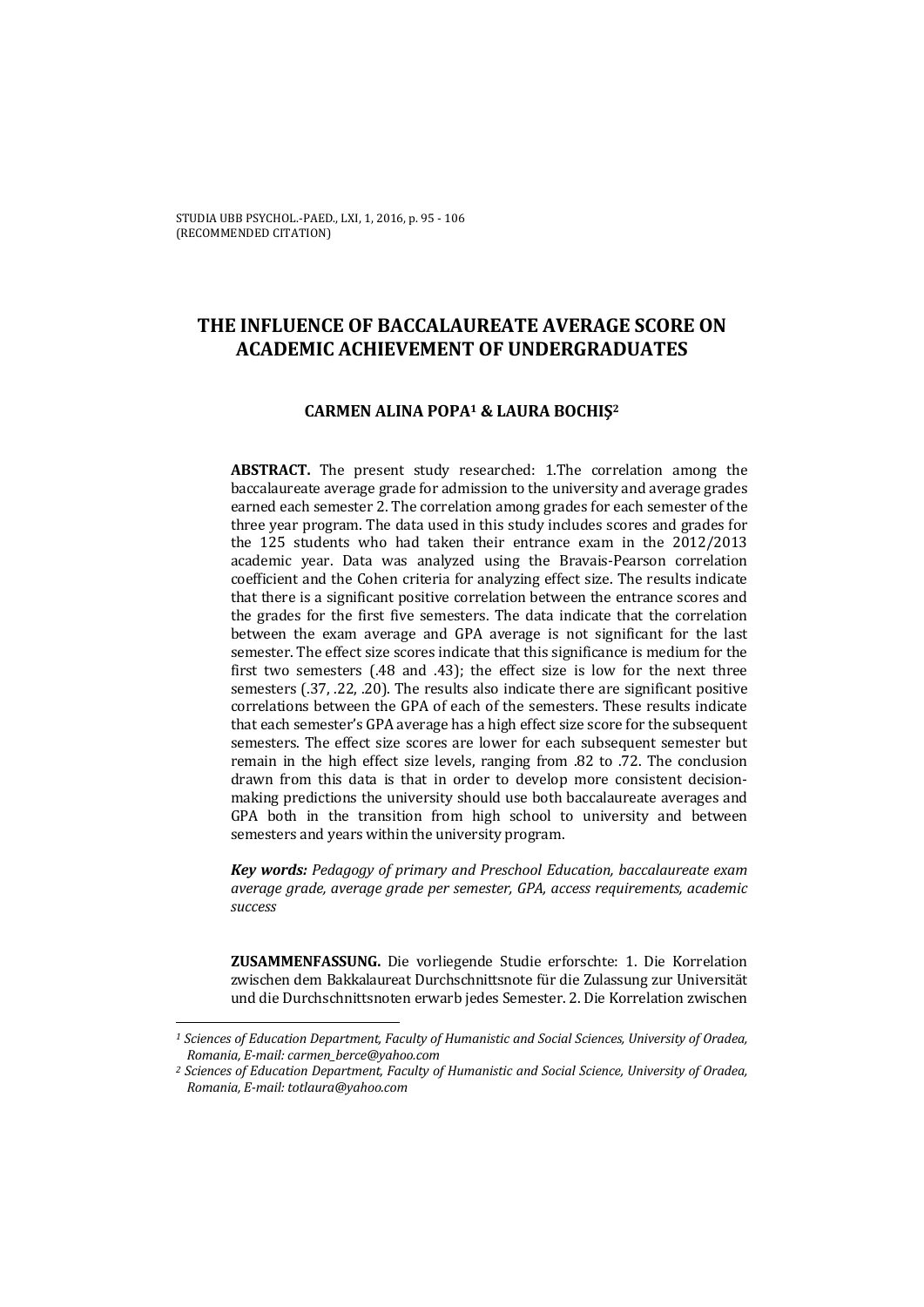STUDIA UBB PSYCHOL.-PAED., LXI, 1, 2016, p. 95 - 106 (RECOMMENDED CITATION)

# **THE INFLUENCE OF BACCALAUREATE AVERAGE SCORE ON ACADEMIC ACHIEVEMENT OF UNDERGRADUATES**

## **CARMEN ALINA POPA1 & LAURA BOCHIŞ<sup>2</sup>**

**ABSTRACT.** The present study researched: 1.The correlation among the baccalaureate average grade for admission to the university and average grades earned each semester 2. The correlation among grades for each semester of the three year program. The data used in this study includes scores and grades for the 125 students who had taken their entrance exam in the 2012/2013 academic year. Data was analyzed using the Bravais-Pearson correlation coefficient and the Cohen criteria for analyzing effect size. The results indicate that there is a significant positive correlation between the entrance scores and the grades for the first five semesters. The data indicate that the correlation between the exam average and GPA average is not significant for the last semester. The effect size scores indicate that this significance is medium for the first two semesters (.48 and .43); the effect size is low for the next three semesters (.37, .22, .20). The results also indicate there are significant positive correlations between the GPA of each of the semesters. These results indicate that each semester's GPA average has a high effect size score for the subsequent semesters. The effect size scores are lower for each subsequent semester but remain in the high effect size levels, ranging from .82 to .72. The conclusion drawn from this data is that in order to develop more consistent decisionmaking predictions the university should use both baccalaureate averages and GPA both in the transition from high school to university and between semesters and years within the university program.

*Key words: Pedagogy of primary and Preschool Education, baccalaureate exam average grade, average grade per semester, GPA, access requirements, academic success* 

**ZUSAMMENFASSUNG.** Die vorliegende Studie erforschte: 1. Die Korrelation zwischen dem Bakkalaureat Durchschnittsnote für die Zulassung zur Universität und die Durchschnittsnoten erwarb jedes Semester. 2. Die Korrelation zwischen

l

*<sup>1</sup> Sciences of Education Department, Faculty of Humanistic and Social Sciences, University of Oradea, Romania, E-mail: carmen\_berce@yahoo.com* 

*<sup>2</sup> Sciences of Education Department, Faculty of Humanistic and Social Science, University of Oradea, Romania, E-mail: totlaura@yahoo.com*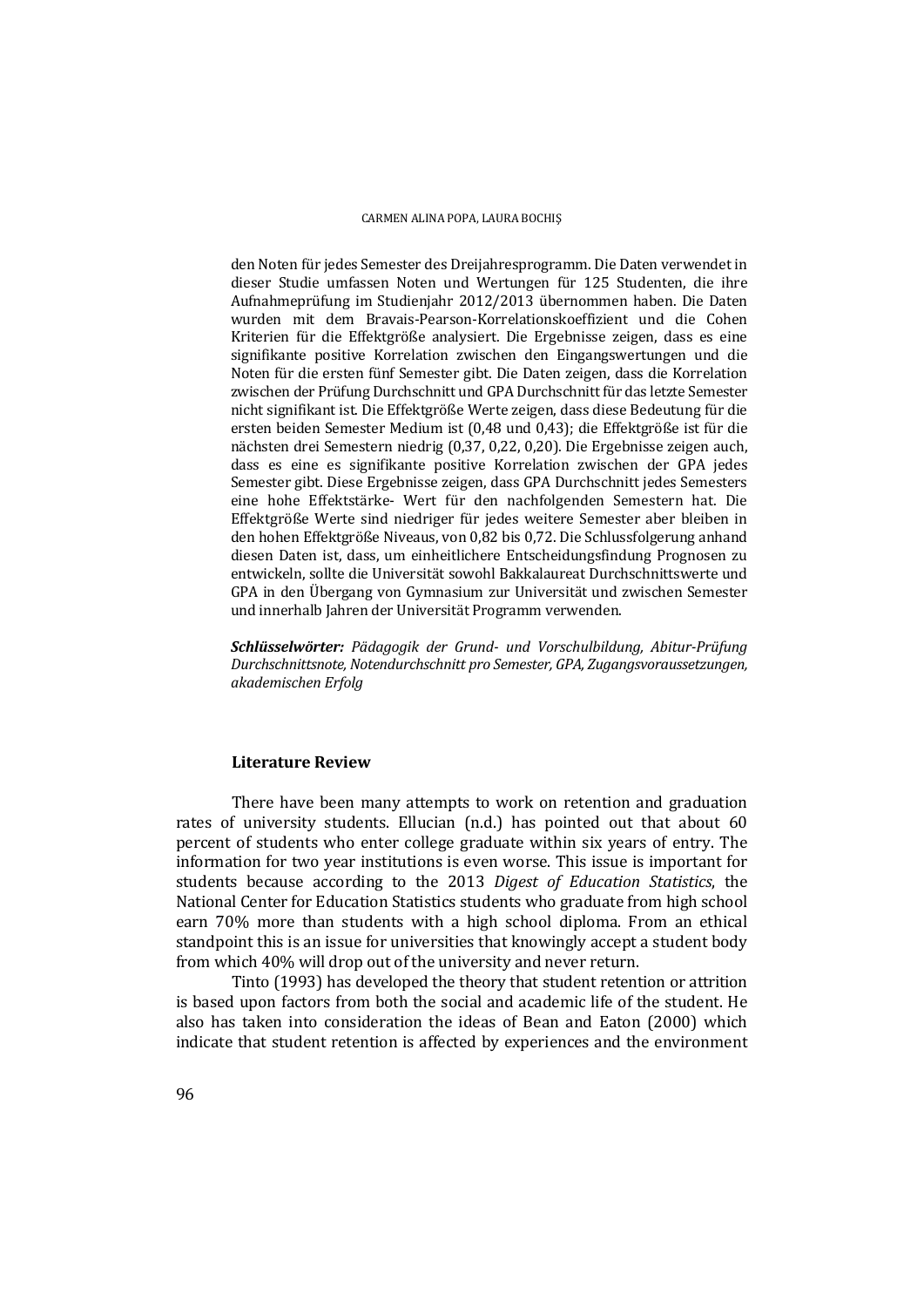den Noten für jedes Semester des Dreijahresprogramm. Die Daten verwendet in dieser Studie umfassen Noten und Wertungen für 125 Studenten, die ihre Aufnahmeprüfung im Studienjahr 2012/2013 übernommen haben. Die Daten wurden mit dem Bravais-Pearson-Korrelationskoeffizient und die Cohen Kriterien für die Effektgröße analysiert. Die Ergebnisse zeigen, dass es eine signifikante positive Korrelation zwischen den Eingangswertungen und die Noten für die ersten fünf Semester gibt. Die Daten zeigen, dass die Korrelation zwischen der Prüfung Durchschnitt und GPA Durchschnitt für das letzte Semester nicht signifikant ist. Die Effektgröße Werte zeigen, dass diese Bedeutung für die ersten beiden Semester Medium ist (0,48 und 0,43); die Effektgröße ist für die nächsten drei Semestern niedrig (0,37, 0,22, 0,20). Die Ergebnisse zeigen auch, dass es eine es signifikante positive Korrelation zwischen der GPA jedes Semester gibt. Diese Ergebnisse zeigen, dass GPA Durchschnitt jedes Semesters eine hohe Effektstärke- Wert für den nachfolgenden Semestern hat. Die Effektgröße Werte sind niedriger für jedes weitere Semester aber bleiben in den hohen Effektgröße Niveaus, von 0,82 bis 0,72. Die Schlussfolgerung anhand diesen Daten ist, dass, um einheitlichere Entscheidungsfindung Prognosen zu entwickeln, sollte die Universität sowohl Bakkalaureat Durchschnittswerte und GPA in den Übergang von Gymnasium zur Universität und zwischen Semester und innerhalb Jahren der Universität Programm verwenden.

*Schlüsselwörter: Pädagogik der Grund- und Vorschulbildung, Abitur-Prüfung Durchschnittsnote, Notendurchschnitt pro Semester, GPA, Zugangsvoraussetzungen, akademischen Erfolg* 

### **Literature Review**

 There have been many attempts to work on retention and graduation rates of university students. Ellucian (n.d.) has pointed out that about 60 percent of students who enter college graduate within six years of entry. The information for two year institutions is even worse. This issue is important for students because according to the 2013 *Digest of Education Statistics*, the National Center for Education Statistics students who graduate from high school earn 70% more than students with a high school diploma. From an ethical standpoint this is an issue for universities that knowingly accept a student body from which 40% will drop out of the university and never return.

 Tinto (1993) has developed the theory that student retention or attrition is based upon factors from both the social and academic life of the student. He also has taken into consideration the ideas of Bean and Eaton (2000) which indicate that student retention is affected by experiences and the environment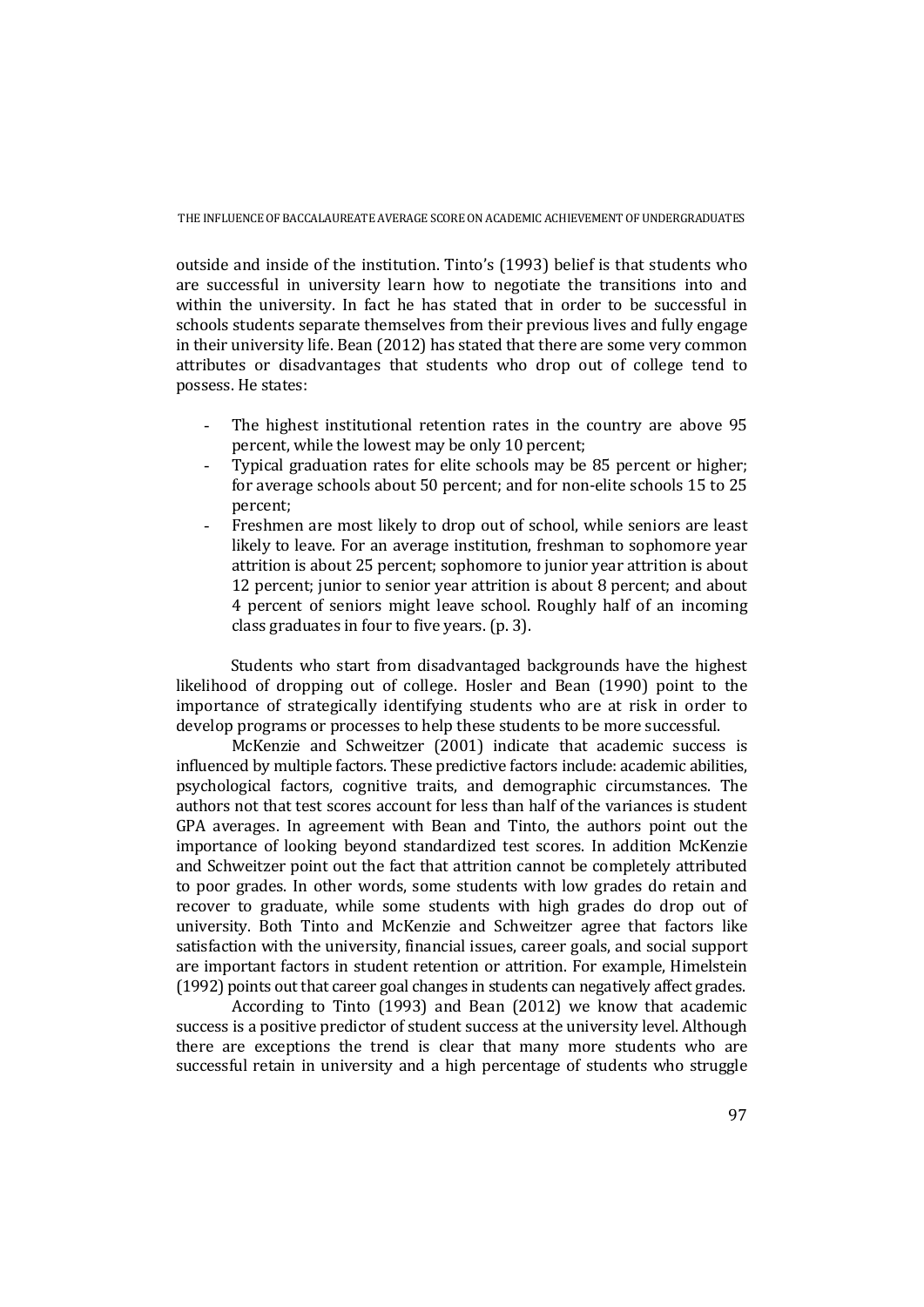outside and inside of the institution. Tinto's (1993) belief is that students who are successful in university learn how to negotiate the transitions into and within the university. In fact he has stated that in order to be successful in schools students separate themselves from their previous lives and fully engage in their university life. Bean (2012) has stated that there are some very common attributes or disadvantages that students who drop out of college tend to possess. He states:

- The highest institutional retention rates in the country are above 95 percent, while the lowest may be only 10 percent;
- Typical graduation rates for elite schools may be 85 percent or higher; for average schools about 50 percent; and for non-elite schools 15 to 25 percent;
- Freshmen are most likely to drop out of school, while seniors are least likely to leave. For an average institution, freshman to sophomore year attrition is about 25 percent; sophomore to junior year attrition is about 12 percent; junior to senior year attrition is about 8 percent; and about 4 percent of seniors might leave school. Roughly half of an incoming class graduates in four to five years. (p. 3).

Students who start from disadvantaged backgrounds have the highest likelihood of dropping out of college. Hosler and Bean (1990) point to the importance of strategically identifying students who are at risk in order to develop programs or processes to help these students to be more successful.

 McKenzie and Schweitzer (2001) indicate that academic success is influenced by multiple factors. These predictive factors include: academic abilities, psychological factors, cognitive traits, and demographic circumstances. The authors not that test scores account for less than half of the variances is student GPA averages. In agreement with Bean and Tinto, the authors point out the importance of looking beyond standardized test scores. In addition McKenzie and Schweitzer point out the fact that attrition cannot be completely attributed to poor grades. In other words, some students with low grades do retain and recover to graduate, while some students with high grades do drop out of university. Both Tinto and McKenzie and Schweitzer agree that factors like satisfaction with the university, financial issues, career goals, and social support are important factors in student retention or attrition. For example, Himelstein (1992) points out that career goal changes in students can negatively affect grades.

 According to Tinto (1993) and Bean (2012) we know that academic success is a positive predictor of student success at the university level. Although there are exceptions the trend is clear that many more students who are successful retain in university and a high percentage of students who struggle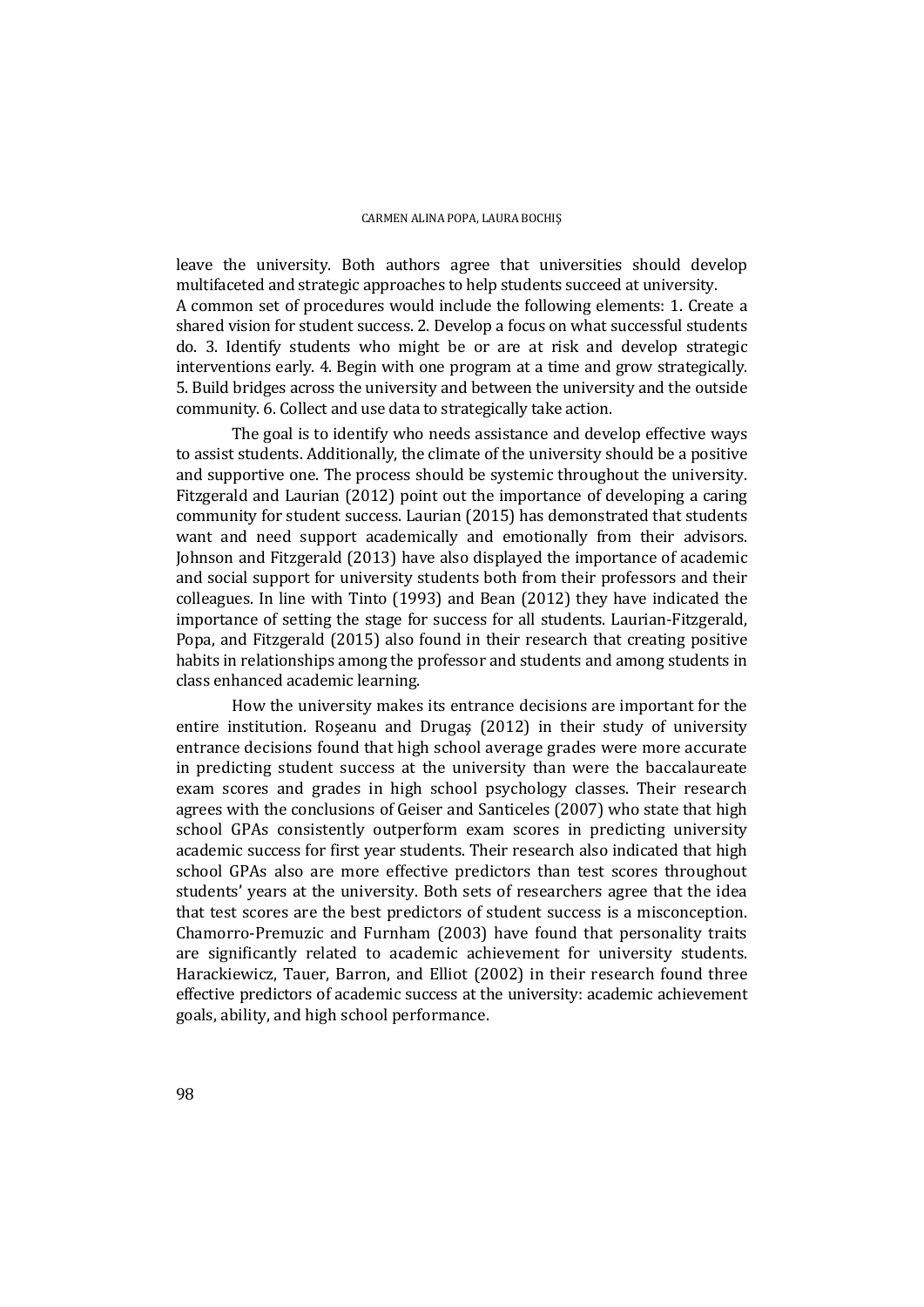leave the university. Both authors agree that universities should develop multifaceted and strategic approaches to help students succeed at university. A common set of procedures would include the following elements: 1. Create a shared vision for student success. 2. Develop a focus on what successful students do. 3. Identify students who might be or are at risk and develop strategic interventions early. 4. Begin with one program at a time and grow strategically. 5. Build bridges across the university and between the university and the outside community. 6. Collect and use data to strategically take action.

 The goal is to identify who needs assistance and develop effective ways to assist students. Additionally, the climate of the university should be a positive and supportive one. The process should be systemic throughout the university. Fitzgerald and Laurian (2012) point out the importance of developing a caring community for student success. Laurian (2015) has demonstrated that students want and need support academically and emotionally from their advisors. Johnson and Fitzgerald (2013) have also displayed the importance of academic and social support for university students both from their professors and their colleagues. In line with Tinto (1993) and Bean (2012) they have indicated the importance of setting the stage for success for all students. Laurian-Fitzgerald, Popa, and Fitzgerald (2015) also found in their research that creating positive habits in relationships among the professor and students and among students in class enhanced academic learning.

 How the university makes its entrance decisions are important for the entire institution. Roşeanu and Drugaş (2012) in their study of university entrance decisions found that high school average grades were more accurate in predicting student success at the university than were the baccalaureate exam scores and grades in high school psychology classes. Their research agrees with the conclusions of Geiser and Santiceles (2007) who state that high school GPAs consistently outperform exam scores in predicting university academic success for first year students. Their research also indicated that high school GPAs also are more effective predictors than test scores throughout students' years at the university. Both sets of researchers agree that the idea that test scores are the best predictors of student success is a misconception. Chamorro-Premuzic and Furnham (2003) have found that personality traits are significantly related to academic achievement for university students. Harackiewicz, Tauer, Barron, and Elliot (2002) in their research found three effective predictors of academic success at the university: academic achievement goals, ability, and high school performance.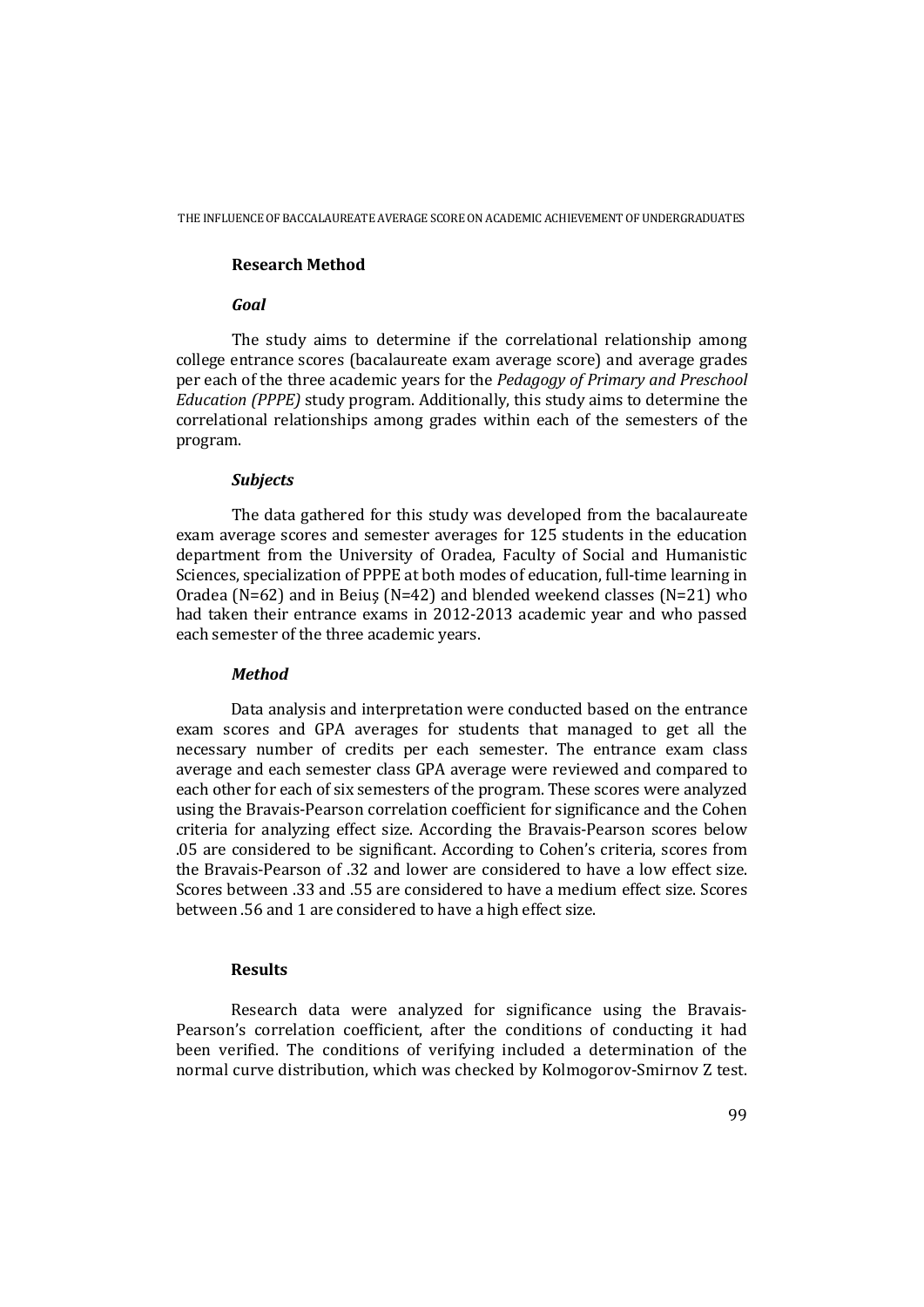## **Research Method**

## *Goal*

 The study aims to determine if the correlational relationship among college entrance scores (bacalaureate exam average score) and average grades per each of the three academic years for the *Pedagogy of Primary and Preschool Education (PPPE)* study program. Additionally, this study aims to determine the correlational relationships among grades within each of the semesters of the program.

### *Subjects*

 The data gathered for this study was developed from the bacalaureate exam average scores and semester averages for 125 students in the education department from the University of Oradea, Faculty of Social and Humanistic Sciences, specialization of PPPE at both modes of education, full-time learning in Oradea (N=62) and in Beiuş (N=42) and blended weekend classes (N=21) who had taken their entrance exams in 2012-2013 academic year and who passed each semester of the three academic years.

### *Method*

Data analysis and interpretation were conducted based on the entrance exam scores and GPA averages for students that managed to get all the necessary number of credits per each semester. The entrance exam class average and each semester class GPA average were reviewed and compared to each other for each of six semesters of the program. These scores were analyzed using the Bravais-Pearson correlation coefficient for significance and the Cohen criteria for analyzing effect size. According the Bravais-Pearson scores below .05 are considered to be significant. According to Cohen's criteria, scores from the Bravais-Pearson of .32 and lower are considered to have a low effect size. Scores between .33 and .55 are considered to have a medium effect size. Scores between .56 and 1 are considered to have a high effect size.

## **Results**

Research data were analyzed for significance using the Bravais-Pearson's correlation coefficient, after the conditions of conducting it had been verified. The conditions of verifying included a determination of the normal curve distribution, which was checked by Kolmogorov-Smirnov Z test.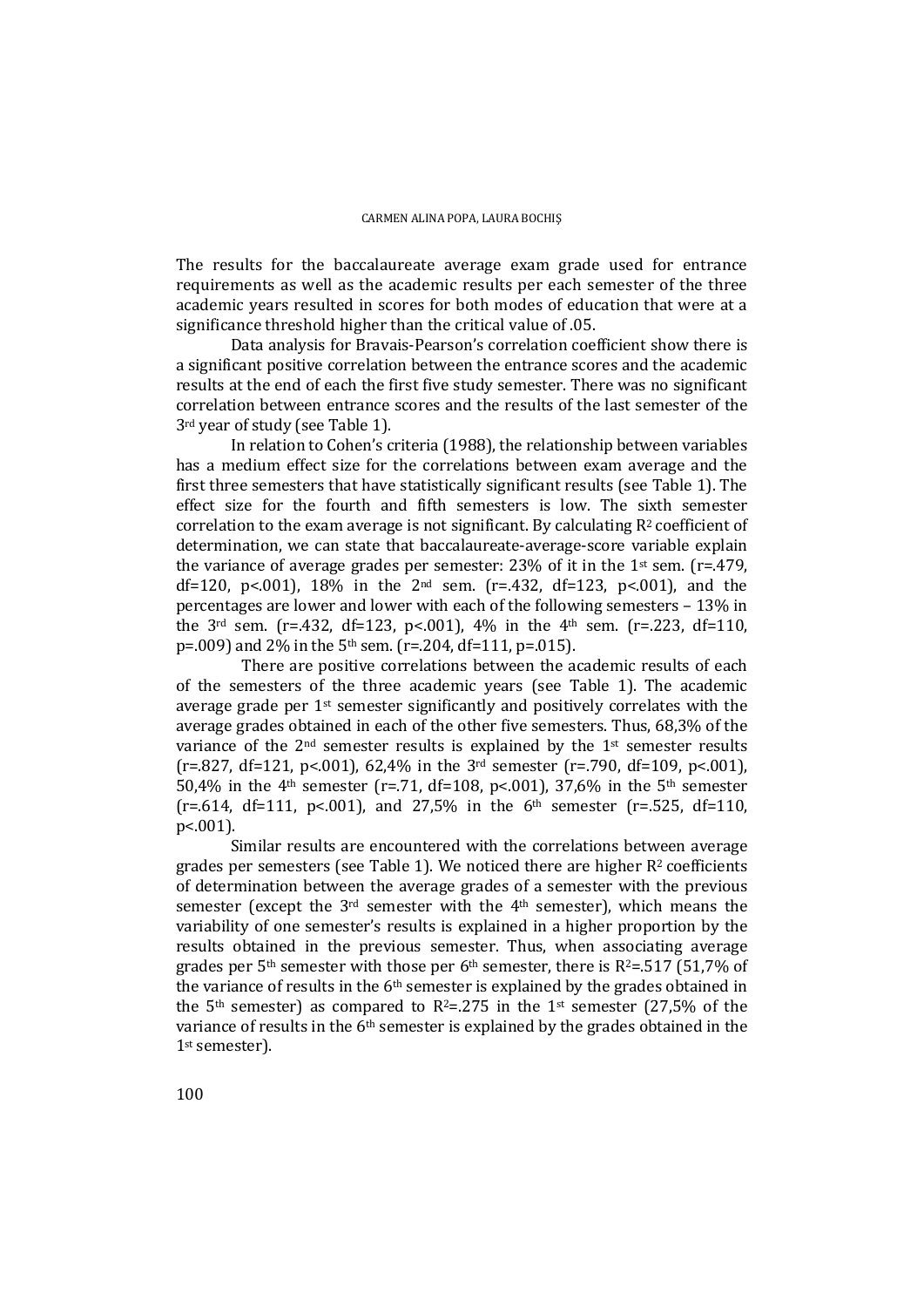The results for the baccalaureate average exam grade used for entrance requirements as well as the academic results per each semester of the three academic years resulted in scores for both modes of education that were at a significance threshold higher than the critical value of .05.

Data analysis for Bravais-Pearson's correlation coefficient show there is a significant positive correlation between the entrance scores and the academic results at the end of each the first five study semester. There was no significant correlation between entrance scores and the results of the last semester of the 3rd year of study (see Table 1).

In relation to Cohen's criteria (1988), the relationship between variables has a medium effect size for the correlations between exam average and the first three semesters that have statistically significant results (see Table 1). The effect size for the fourth and fifth semesters is low. The sixth semester correlation to the exam average is not significant. By calculating  $R<sup>2</sup>$  coefficient of determination, we can state that baccalaureate-average-score variable explain the variance of average grades per semester: 23% of it in the 1st sem. ( $r=479$ , df=120, p<.001), 18% in the 2<sup>nd</sup> sem. (r=.432, df=123, p<.001), and the percentages are lower and lower with each of the following semesters – 13% in the  $3<sup>rd</sup>$  sem. (r=.432, df=123, p<.001), 4% in the  $4<sup>th</sup>$  sem. (r=.223, df=110, p=.009) and 2% in the 5<sup>th</sup> sem. (r=.204, df=111, p=.015).

There are positive correlations between the academic results of each of the semesters of the three academic years (see Table 1). The academic average grade per 1st semester significantly and positively correlates with the average grades obtained in each of the other five semesters. Thus, 68,3% of the variance of the 2nd semester results is explained by the 1st semester results (r=.827, df=121, p<.001), 62,4% in the 3rd semester (r=.790, df=109, p<.001), 50,4% in the 4<sup>th</sup> semester (r=.71, df=108, p<.001), 37,6% in the 5<sup>th</sup> semester  $(r=.614, df=111, p<.001)$ , and 27,5% in the 6<sup>th</sup> semester (r=.525, df=110, p<.001).

Similar results are encountered with the correlations between average grades per semesters (see Table 1). We noticed there are higher R2 coefficients of determination between the average grades of a semester with the previous semester (except the 3rd semester with the 4th semester), which means the variability of one semester's results is explained in a higher proportion by the results obtained in the previous semester. Thus, when associating average grades per 5<sup>th</sup> semester with those per 6<sup>th</sup> semester, there is  $R^2 = 517$  (51,7% of the variance of results in the 6<sup>th</sup> semester is explained by the grades obtained in the 5<sup>th</sup> semester) as compared to R<sup>2</sup>=.275 in the 1<sup>st</sup> semester (27,5% of the variance of results in the 6th semester is explained by the grades obtained in the 1st semester).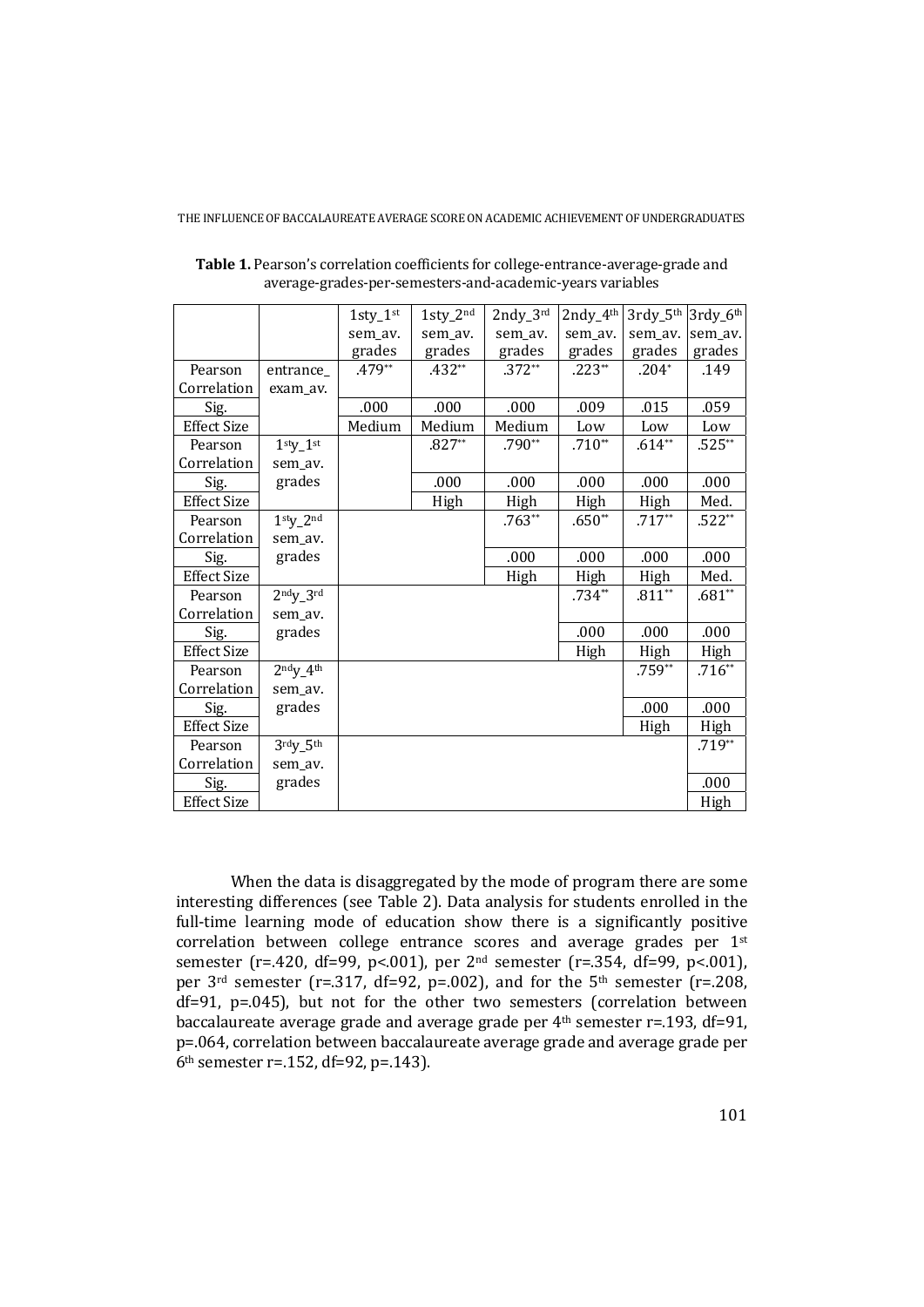|                    |                 | $1$ sty_ $1$ <sup>st</sup> | $1$ sty_ $2nd$ | $2ndy_3^{rd}$ | $2ndy_4$ <sup>th</sup> | $3$ rdy_ $5th$ | 3rdy_6th |
|--------------------|-----------------|----------------------------|----------------|---------------|------------------------|----------------|----------|
|                    |                 |                            |                |               |                        |                |          |
|                    |                 | sem_av.                    | sem_av.        | sem_av.       | sem_av.                | sem_av.        | sem_av.  |
|                    |                 | grades                     | grades         | grades        | grades                 | grades         | grades   |
| Pearson            | entrance_       | .479**                     | $.432**$       | $.372**$      | $.223**$               | $.204*$        | .149     |
| Correlation        | exam_av.        |                            |                |               |                        |                |          |
| Sig.               |                 | .000                       | .000           | .000          | .009                   | .015           | .059     |
| <b>Effect Size</b> |                 | Medium                     | Medium         | Medium        | Low                    | Low            | Low      |
| Pearson            | $1sty-1st$      |                            | $.827**$       | $.790**$      | $.710**$               | $.614**$       | $.525**$ |
| Correlation        | sem_av.         |                            |                |               |                        |                |          |
| Sig.               | grades          |                            | .000           | .000          | .000                   | .000           | .000     |
| <b>Effect Size</b> |                 |                            | High           | High          | High                   | High           | Med.     |
| Pearson            | $1sty-2nd$      |                            |                | $.763**$      | $.650**$               | $.717**$       | $.522**$ |
| Correlation        | sem_av.         |                            |                |               |                        |                |          |
| Sig.               | grades          |                            |                | .000          | .000                   | .000           | .000     |
| <b>Effect Size</b> |                 |                            |                | High          | High                   | High           | Med.     |
| Pearson            | $2ndy_3$ rd     |                            |                |               | $.734**$               | $.811**$       | $.681**$ |
| Correlation        | sem_av.         |                            |                |               |                        |                |          |
| Sig.               | grades          |                            |                |               | .000                   | .000           | .000     |
| <b>Effect Size</b> |                 |                            |                |               | High                   | High           | High     |
| Pearson            | $2ndy_4th$      |                            |                |               |                        | $.759**$       | $.716**$ |
| Correlation        | sem_av.         |                            |                |               |                        |                |          |
| Sig.               | grades          |                            |                |               |                        | .000           | .000     |
| <b>Effect Size</b> |                 |                            |                |               |                        | High           | High     |
| Pearson            | $3$ rdy_ $5$ th |                            |                |               |                        |                | $.719**$ |
| Correlation        | sem_av.         |                            |                |               |                        |                |          |
| Sig.               | grades          |                            |                |               |                        |                | .000     |
| <b>Effect Size</b> |                 |                            |                |               |                        |                | High     |

**Table 1.** Pearson's correlation coefficients for college-entrance-average-grade and average-grades-per-semesters-and-academic-years variables

When the data is disaggregated by the mode of program there are some interesting differences (see Table 2). Data analysis for students enrolled in the full-time learning mode of education show there is a significantly positive correlation between college entrance scores and average grades per 1st semester (r=.420, df=99, p<.001), per 2nd semester (r=.354, df=99, p<.001), per  $3<sup>rd</sup>$  semester (r=.317, df=92, p=.002), and for the  $5<sup>th</sup>$  semester (r=.208, df=91, p=.045), but not for the other two semesters (correlation between baccalaureate average grade and average grade per 4<sup>th</sup> semester r=.193, df=91, p=.064, correlation between baccalaureate average grade and average grade per 6th semester r=.152, df=92, p=.143).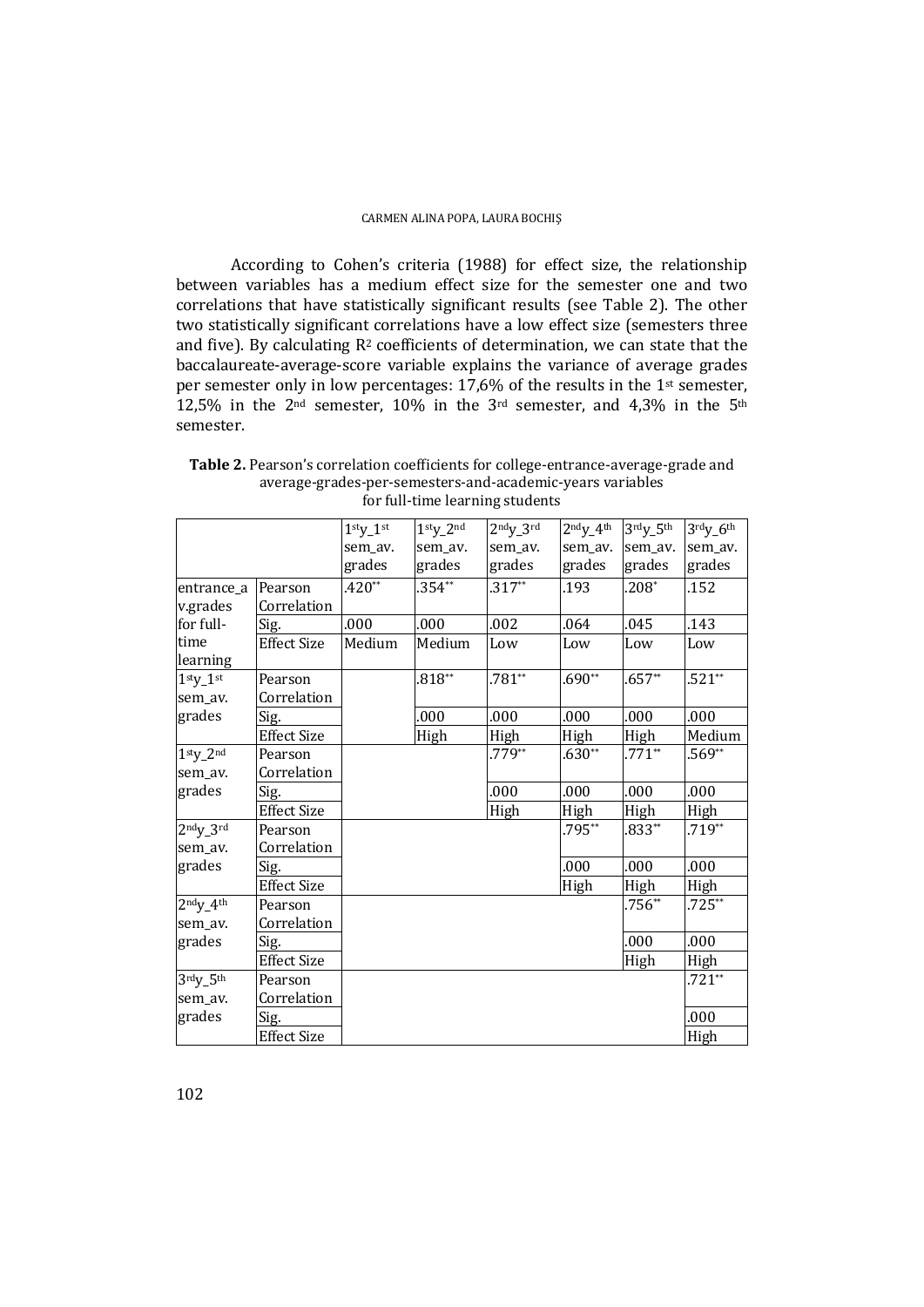According to Cohen's criteria (1988) for effect size, the relationship between variables has a medium effect size for the semester one and two correlations that have statistically significant results (see Table 2). The other two statistically significant correlations have a low effect size (semesters three and five). By calculating  $R^2$  coefficients of determination, we can state that the baccalaureate-average-score variable explains the variance of average grades per semester only in low percentages: 17,6% of the results in the 1st semester, 12,5% in the 2<sup>nd</sup> semester, 10% in the 3<sup>rd</sup> semester, and 4,3% in the 5<sup>th</sup> semester.

|            |                    | $1sty-1st$ | $1sty-2nd$ | $2ndy-3rd$ | $2ndy - 4th$ | $3rdy_5th$ | $3rdy_6th$ |
|------------|--------------------|------------|------------|------------|--------------|------------|------------|
|            |                    | sem_av.    | sem_av.    | sem_av.    | sem_av.      | sem_av.    | sem_av.    |
|            |                    | grades     | grades     | grades     | grades       | grades     | grades     |
| entrance_a | Pearson            | $.420**$   | $.354**$   | $.317***$  | .193         | $.208*$    | .152       |
| v.grades   | Correlation        |            |            |            |              |            |            |
| for full-  | Sig.               | .000       | .000       | .002       | .064         | .045       | .143       |
| time       | <b>Effect Size</b> | Medium     | Medium     | Low        | Low          | Low        | Low        |
| learning   |                    |            |            |            |              |            |            |
| $1stV-1st$ | Pearson            |            | $.818**$   | $.781**$   | $.690**$     | $.657**$   | $.521**$   |
| sem_av.    | Correlation        |            |            |            |              |            |            |
| grades     | Sig.               |            | .000       | .000       | .000         | .000       | .000       |
|            | <b>Effect Size</b> |            | High       | High       | High         | High       | Medium     |
| $1sty-2nd$ | Pearson            |            |            | $.779**$   | $.630**$     | $.771**$   | $.569**$   |
| sem_av.    | Correlation        |            |            |            |              |            |            |
| grades     | Sig.               |            |            | .000       | .000         | .000       | .000       |
|            | <b>Effect Size</b> |            |            | High       | High         | High       | High       |
| $2ndy-3rd$ | Pearson            |            |            |            | .795**       | $.833**$   | $.719**$   |
| sem_av.    | Correlation        |            |            |            |              |            |            |
| grades     | Sig.               |            |            |            | .000         | .000       | .000       |
|            | <b>Effect Size</b> |            |            |            | High         | High       | High       |
| $2ndy_4th$ | Pearson            |            |            |            |              | $.756**$   | $.725**$   |
| sem_av.    | Correlation        |            |            |            |              |            |            |
| grades     | Sig.               |            |            |            |              | .000       | .000       |
|            | <b>Effect Size</b> |            |            |            |              | High       | High       |
| $3rdy_5th$ | Pearson            |            |            |            |              |            | $.721**$   |
| sem_av.    | Correlation        |            |            |            |              |            |            |
| grades     | Sig.               |            |            |            |              |            | .000       |
|            | <b>Effect Size</b> |            |            |            |              |            | High       |

**Table 2.** Pearson's correlation coefficients for college-entrance-average-grade and average-grades-per-semesters-and-academic-years variables for full-time learning students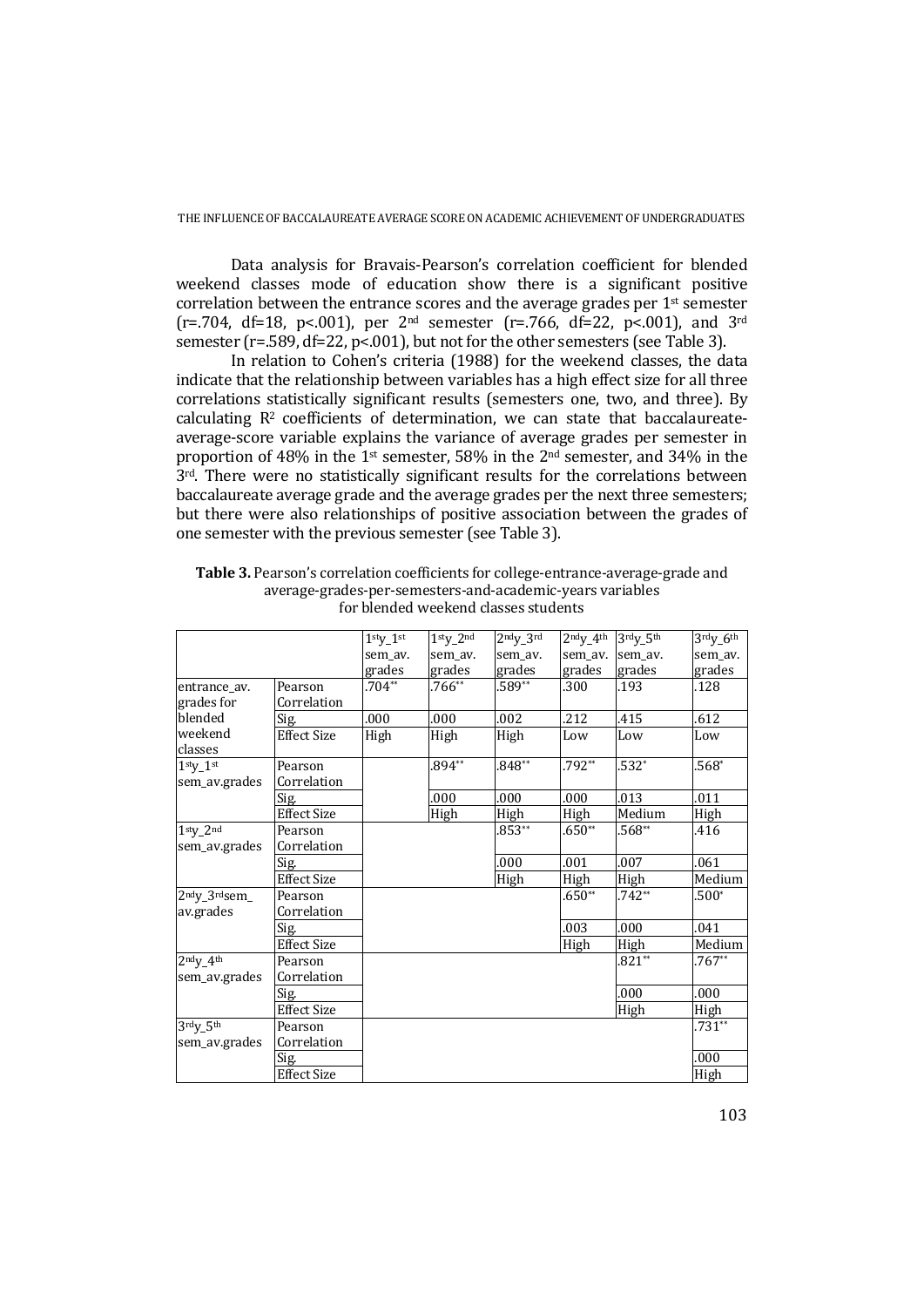Data analysis for Bravais-Pearson's correlation coefficient for blended weekend classes mode of education show there is a significant positive correlation between the entrance scores and the average grades per 1st semester (r=.704, df=18, p<.001), per 2<sup>nd</sup> semester (r=.766, df=22, p<.001), and 3<sup>rd</sup> semester (r=.589, df=22, p<.001), but not for the other semesters (see Table 3).

In relation to Cohen's criteria (1988) for the weekend classes, the data indicate that the relationship between variables has a high effect size for all three correlations statistically significant results (semesters one, two, and three). By calculating R2 coefficients of determination, we can state that baccalaureateaverage-score variable explains the variance of average grades per semester in proportion of 48% in the 1st semester, 58% in the 2nd semester, and 34% in the 3<sup>rd</sup>. There were no statistically significant results for the correlations between baccalaureate average grade and the average grades per the next three semesters; but there were also relationships of positive association between the grades of one semester with the previous semester (see Table 3).

|                                        |                    | $1sty_1st$ | $1stV$ 2nd | $2ndV$ $3rd$ | $2ndV$ 4 <sup>th</sup> | $3$ rdy $5$ th | $3$ rdy_ $6$ <sup>th</sup> |
|----------------------------------------|--------------------|------------|------------|--------------|------------------------|----------------|----------------------------|
|                                        |                    | sem_av.    | sem av.    | sem av.      | sem av.                | sem av.        | sem_av.                    |
|                                        |                    | grades     | grades     | grades       | grades                 | grades         | grades                     |
| entrance_av.                           | Pearson            | $.704**$   | $.766**$   | $.589**$     | .300                   | .193           | .128                       |
| grades for                             | Correlation        |            |            |              |                        |                |                            |
| blended                                | Sig.               | .000       | .000       | .002         | .212                   | .415           | .612                       |
| weekend<br>classes                     | <b>Effect Size</b> | High       | High       | High         | Low                    | Low            | Low                        |
| $1sty_1st$                             | Pearson            |            | $.894**$   | $.848**$     | $.792**$               | $.532*$        | $.568*$                    |
| sem_av.grades                          | Correlation        |            |            |              |                        |                |                            |
|                                        | Sig.               |            | .000       | .000         | .000                   | .013           | .011                       |
|                                        | <b>Effect Size</b> |            | High       | High         | High                   | Medium         | High                       |
| $1sty_2nd$                             | Pearson            |            |            | $.853**$     | $.650**$               | $.568**$       | .416                       |
| sem_av.grades                          | Correlation        |            |            |              |                        |                |                            |
|                                        | Sig.               |            |            | .000         | .001                   | .007           | .061                       |
|                                        | <b>Effect Size</b> |            |            | High         | High                   | High           | Medium                     |
| 2 <sup>nd</sup> y_3 <sup>rd</sup> sem_ | Pearson            |            |            |              | $.650**$               | $.742**$       | $.500*$                    |
| av.grades                              | Correlation        |            |            |              |                        |                |                            |
|                                        | Sig.               |            |            |              | .003                   | .000           | .041                       |
|                                        | <b>Effect Size</b> |            |            |              | High                   | High           | Medium                     |
| $2^{nd}V_4$ th                         | Pearson            |            |            |              |                        | $.821**$       | $.767**$                   |
| sem_av.grades                          | Correlation        |            |            |              |                        |                |                            |
|                                        | Sig.               |            |            |              |                        | .000           | .000                       |
|                                        | <b>Effect Size</b> |            |            |              |                        | High           | High                       |
| $3$ rdy_5th                            | Pearson            |            |            |              |                        |                | $.731**$                   |
| sem_av.grades                          | Correlation        |            |            |              |                        |                |                            |
|                                        | Sig.               |            |            |              |                        |                | .000                       |
|                                        | <b>Effect Size</b> |            |            |              |                        |                | High                       |

**Table 3.** Pearson's correlation coefficients for college-entrance-average-grade and average-grades-per-semesters-and-academic-years variables for blended weekend classes students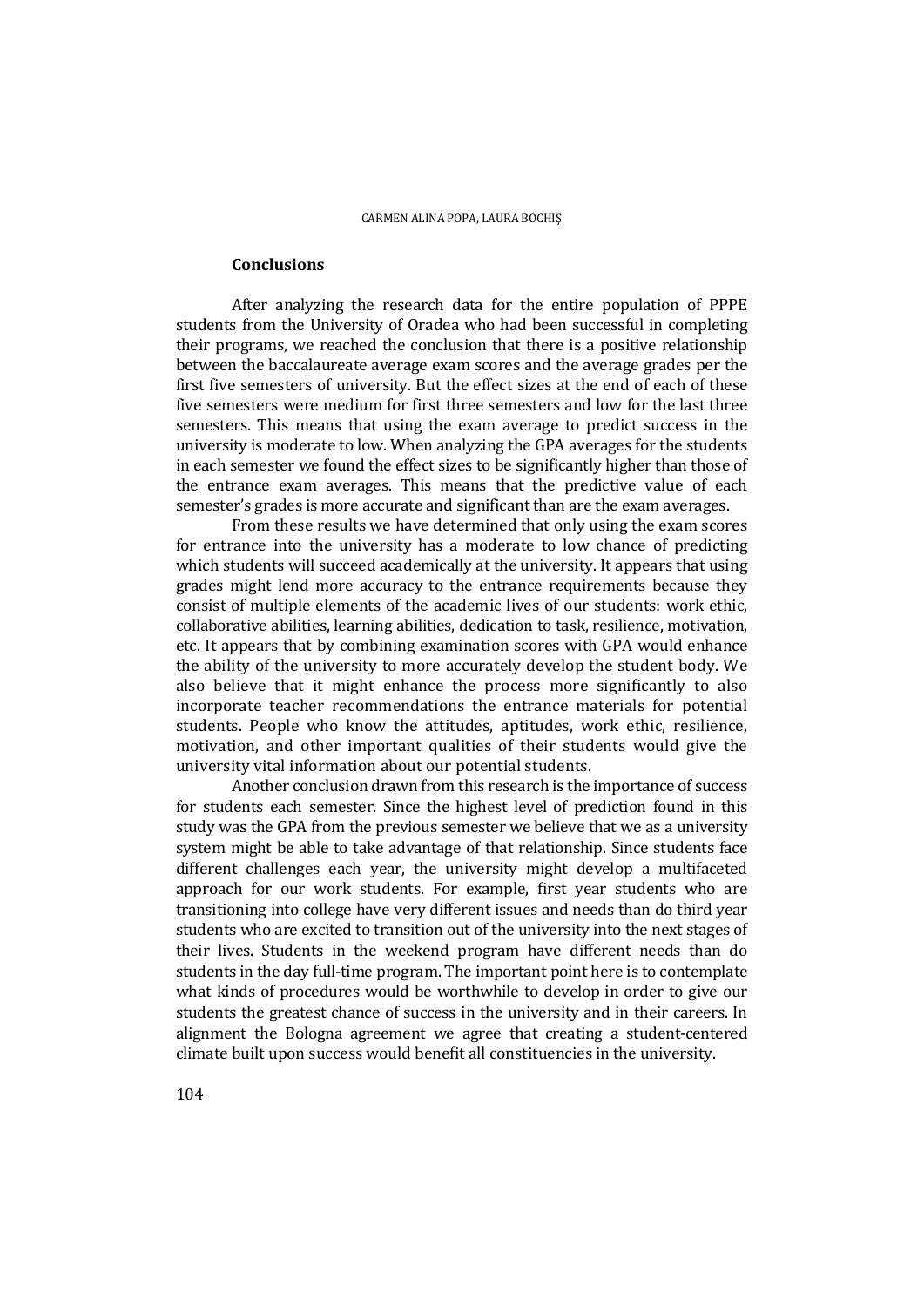### **Conclusions**

 After analyzing the research data for the entire population of PPPE students from the University of Oradea who had been successful in completing their programs, we reached the conclusion that there is a positive relationship between the baccalaureate average exam scores and the average grades per the first five semesters of university. But the effect sizes at the end of each of these five semesters were medium for first three semesters and low for the last three semesters. This means that using the exam average to predict success in the university is moderate to low. When analyzing the GPA averages for the students in each semester we found the effect sizes to be significantly higher than those of the entrance exam averages. This means that the predictive value of each semester's grades is more accurate and significant than are the exam averages.

 From these results we have determined that only using the exam scores for entrance into the university has a moderate to low chance of predicting which students will succeed academically at the university. It appears that using grades might lend more accuracy to the entrance requirements because they consist of multiple elements of the academic lives of our students: work ethic, collaborative abilities, learning abilities, dedication to task, resilience, motivation, etc. It appears that by combining examination scores with GPA would enhance the ability of the university to more accurately develop the student body. We also believe that it might enhance the process more significantly to also incorporate teacher recommendations the entrance materials for potential students. People who know the attitudes, aptitudes, work ethic, resilience, motivation, and other important qualities of their students would give the university vital information about our potential students.

 Another conclusion drawn from this research is the importance of success for students each semester. Since the highest level of prediction found in this study was the GPA from the previous semester we believe that we as a university system might be able to take advantage of that relationship. Since students face different challenges each year, the university might develop a multifaceted approach for our work students. For example, first year students who are transitioning into college have very different issues and needs than do third year students who are excited to transition out of the university into the next stages of their lives. Students in the weekend program have different needs than do students in the day full-time program. The important point here is to contemplate what kinds of procedures would be worthwhile to develop in order to give our students the greatest chance of success in the university and in their careers. In alignment the Bologna agreement we agree that creating a student-centered climate built upon success would benefit all constituencies in the university.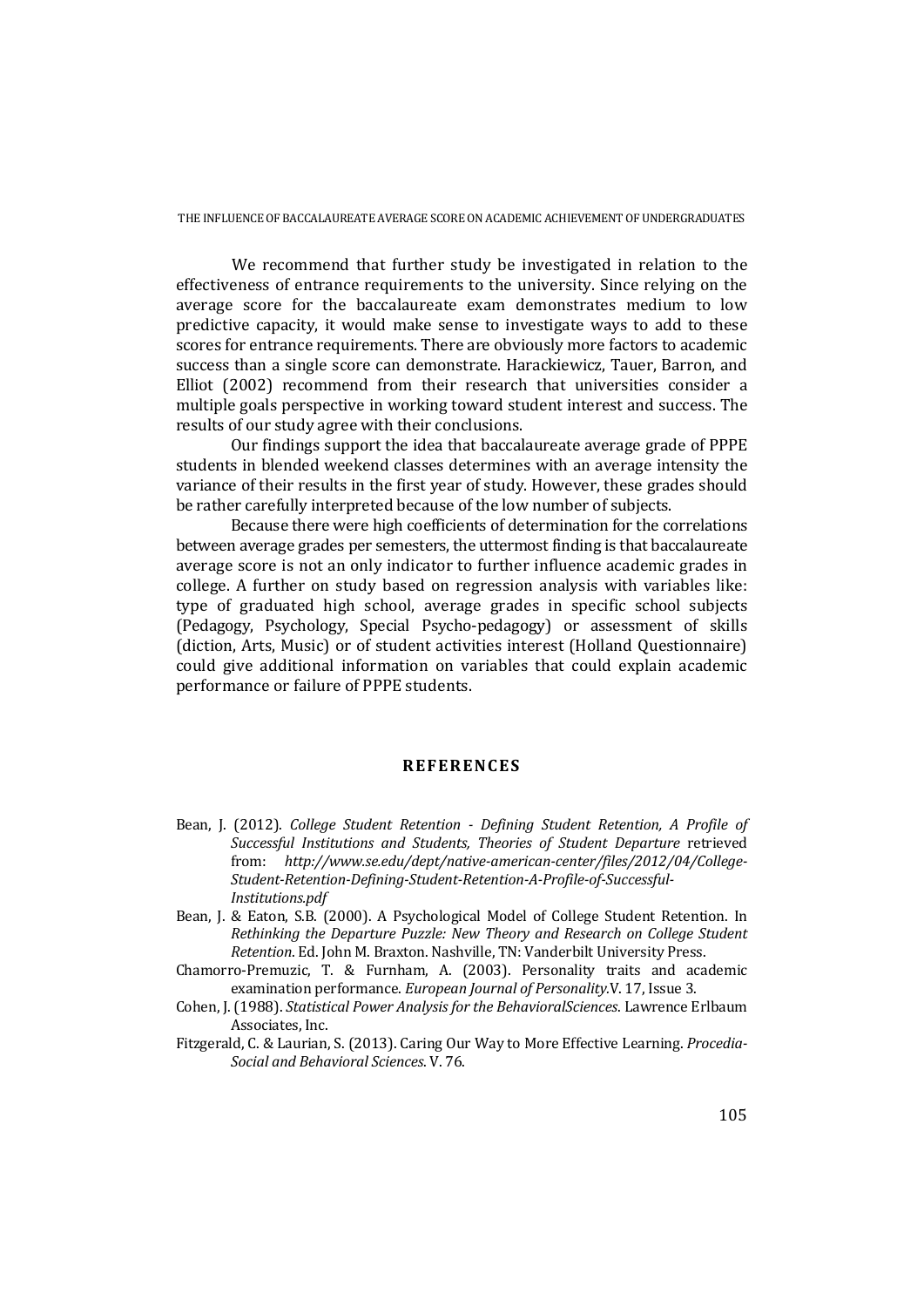We recommend that further study be investigated in relation to the effectiveness of entrance requirements to the university. Since relying on the average score for the baccalaureate exam demonstrates medium to low predictive capacity, it would make sense to investigate ways to add to these scores for entrance requirements. There are obviously more factors to academic success than a single score can demonstrate. Harackiewicz, Tauer, Barron, and Elliot (2002) recommend from their research that universities consider a multiple goals perspective in working toward student interest and success. The results of our study agree with their conclusions.

Our findings support the idea that baccalaureate average grade of PPPE students in blended weekend classes determines with an average intensity the variance of their results in the first year of study. However, these grades should be rather carefully interpreted because of the low number of subjects.

Because there were high coefficients of determination for the correlations between average grades per semesters, the uttermost finding is that baccalaureate average score is not an only indicator to further influence academic grades in college. A further on study based on regression analysis with variables like: type of graduated high school, average grades in specific school subjects (Pedagogy, Psychology, Special Psycho-pedagogy) or assessment of skills (diction, Arts, Music) or of student activities interest (Holland Questionnaire) could give additional information on variables that could explain academic performance or failure of PPPE students.

## **REFERENCES**

- Bean, J. (2012). *College Student Retention Defining Student Retention, A Profile of Successful Institutions and Students, Theories of Student Departure* retrieved from: *http://www.se.edu/dept/native-american-center/files/2012/04/College-Student-Retention-Defining-Student-Retention-A-Profile-of-Successful-Institutions.pdf*
- Bean, J. & Eaton, S.B. (2000). A Psychological Model of College Student Retention. In *Rethinking the Departure Puzzle: New Theory and Research on College Student Retention*. Ed. John M. Braxton. Nashville, TN: Vanderbilt University Press.
- Chamorro-Premuzic, T. & Furnham, A. (2003). Personality traits and academic examination performance. *European Journal of Personality.*V. 17, Issue 3.
- Cohen, J. (1988). *Statistical Power Analysis for the BehavioralSciences*. Lawrence Erlbaum Associates, Inc.
- Fitzgerald, C. & Laurian, S. (2013). Caring Our Way to More Effective Learning. *Procedia-Social and Behavioral Sciences*. V. 76.